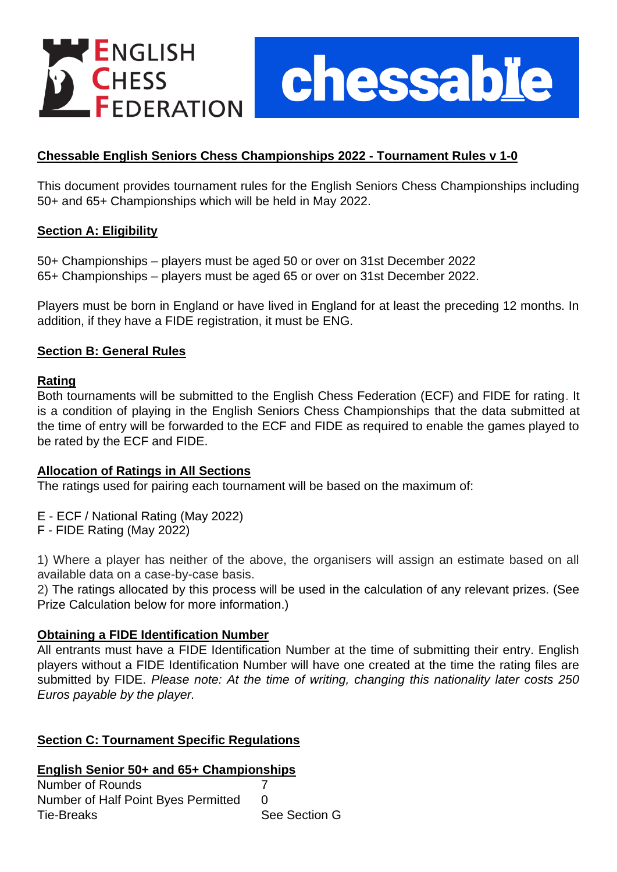

chessable

# **Chessable English Seniors Chess Championships 2022 - Tournament Rules v 1-0**

This document provides tournament rules for the English Seniors Chess Championships including 50+ and 65+ Championships which will be held in May 2022.

### **Section A: Eligibility**

50+ Championships – players must be aged 50 or over on 31st December 2022 65+ Championships – players must be aged 65 or over on 31st December 2022.

Players must be born in England or have lived in England for at least the preceding 12 months. In addition, if they have a FIDE registration, it must be ENG.

### **Section B: General Rules**

### **Rating**

Both tournaments will be submitted to the English Chess Federation (ECF) and FIDE for rating. It is a condition of playing in the English Seniors Chess Championships that the data submitted at the time of entry will be forwarded to the ECF and FIDE as required to enable the games played to be rated by the ECF and FIDE.

### **Allocation of Ratings in All Sections**

The ratings used for pairing each tournament will be based on the maximum of:

- E ECF / National Rating (May 2022)
- F FIDE Rating (May 2022)

1) Where a player has neither of the above, the organisers will assign an estimate based on all available data on a case-by-case basis.

2) The ratings allocated by this process will be used in the calculation of any relevant prizes. (See Prize Calculation below for more information.)

### **Obtaining a FIDE Identification Number**

All entrants must have a FIDE Identification Number at the time of submitting their entry. English players without a FIDE Identification Number will have one created at the time the rating files are submitted by FIDE. *Please note: At the time of writing, changing this nationality later costs 250 Euros payable by the player.*

# **Section C: Tournament Specific Regulations**

### **English Senior 50+ and 65+ Championships**

| Number of Rounds                    |               |
|-------------------------------------|---------------|
| Number of Half Point Byes Permitted |               |
| <b>Tie-Breaks</b>                   | See Section G |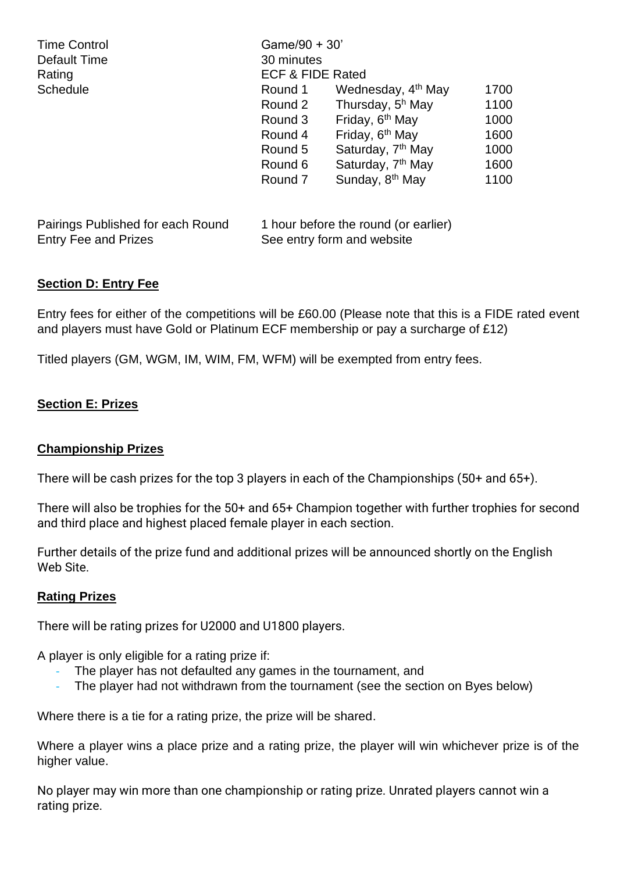| <b>Time Control</b><br>Default Time | Game/90 + 30'<br>30 minutes          |                                |      |  |
|-------------------------------------|--------------------------------------|--------------------------------|------|--|
| Rating                              | <b>ECF &amp; FIDE Rated</b>          |                                |      |  |
| <b>Schedule</b>                     | Round 1                              | Wednesday, 4 <sup>th</sup> May | 1700 |  |
|                                     | Round 2                              | Thursday, 5 <sup>h</sup> May   | 1100 |  |
|                                     | Round 3                              | Friday, 6 <sup>th</sup> May    | 1000 |  |
|                                     | Round 4                              | Friday, 6 <sup>th</sup> May    | 1600 |  |
|                                     | Round 5                              | Saturday, 7 <sup>th</sup> May  | 1000 |  |
|                                     | Round 6                              | Saturday, 7 <sup>th</sup> May  | 1600 |  |
|                                     | Round 7                              | Sunday, 8 <sup>th</sup> May    | 1100 |  |
| Pairings Published for each Round   | 1 hour before the round (or earlier) |                                |      |  |
| <b>Entry Fee and Prizes</b>         |                                      | See entry form and website     |      |  |

# **Section D: Entry Fee**

Entry fees for either of the competitions will be £60.00 (Please note that this is a FIDE rated event and players must have Gold or Platinum ECF membership or pay a surcharge of £12)

Titled players (GM, WGM, IM, WIM, FM, WFM) will be exempted from entry fees.

### **Section E: Prizes**

### **Championship Prizes**

There will be cash prizes for the top 3 players in each of the Championships (50+ and 65+).

There will also be trophies for the 50+ and 65+ Champion together with further trophies for second and third place and highest placed female player in each section.

Further details of the prize fund and additional prizes will be announced shortly on the English Web Site.

### **Rating Prizes**

There will be rating prizes for U2000 and U1800 players.

A player is only eligible for a rating prize if:

- The player has not defaulted any games in the tournament, and
- The player had not withdrawn from the tournament (see the section on Byes below)

Where there is a tie for a rating prize, the prize will be shared.

Where a player wins a place prize and a rating prize, the player will win whichever prize is of the higher value.

No player may win more than one championship or rating prize. Unrated players cannot win a rating prize.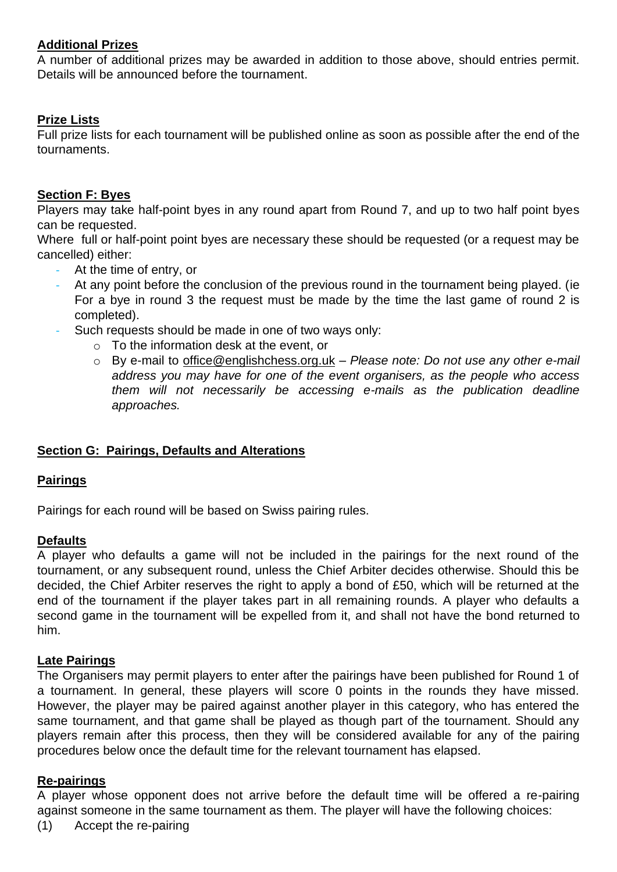### **Additional Prizes**

A number of additional prizes may be awarded in addition to those above, should entries permit. Details will be announced before the tournament.

### **Prize Lists**

Full prize lists for each tournament will be published online as soon as possible after the end of the tournaments.

### **Section F: Byes**

Players may take half-point byes in any round apart from Round 7, and up to two half point byes can be requested.

Where full or half-point point byes are necessary these should be requested (or a request may be cancelled) either:

- At the time of entry, or
- At any point before the conclusion of the previous round in the tournament being played. (ie For a bye in round 3 the request must be made by the time the last game of round 2 is completed).
- Such requests should be made in one of two ways only:
	- $\circ$  To the information desk at the event, or
	- o By e-mail to office@englishchess.org.uk *Please note: Do not use any other e-mail address you may have for one of the event organisers, as the people who access them will not necessarily be accessing e-mails as the publication deadline approaches.*

# **Section G: Pairings, Defaults and Alterations**

# **Pairings**

Pairings for each round will be based on Swiss pairing rules.

### **Defaults**

A player who defaults a game will not be included in the pairings for the next round of the tournament, or any subsequent round, unless the Chief Arbiter decides otherwise. Should this be decided, the Chief Arbiter reserves the right to apply a bond of £50, which will be returned at the end of the tournament if the player takes part in all remaining rounds. A player who defaults a second game in the tournament will be expelled from it, and shall not have the bond returned to him.

### **Late Pairings**

The Organisers may permit players to enter after the pairings have been published for Round 1 of a tournament. In general, these players will score 0 points in the rounds they have missed. However, the player may be paired against another player in this category, who has entered the same tournament, and that game shall be played as though part of the tournament. Should any players remain after this process, then they will be considered available for any of the pairing procedures below once the default time for the relevant tournament has elapsed.

### **Re-pairings**

A player whose opponent does not arrive before the default time will be offered a re-pairing against someone in the same tournament as them. The player will have the following choices:

(1) Accept the re-pairing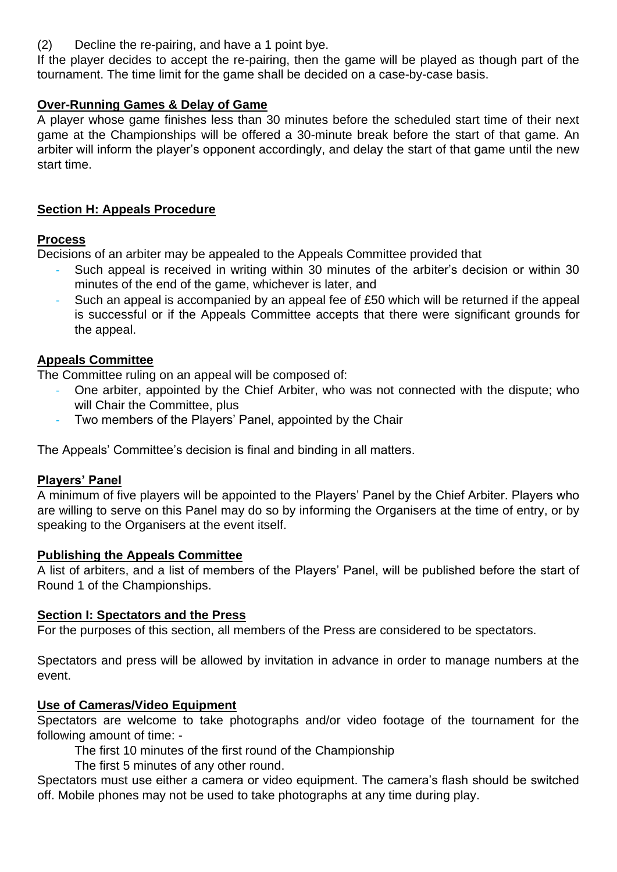(2) Decline the re-pairing, and have a 1 point bye.

If the player decides to accept the re-pairing, then the game will be played as though part of the tournament. The time limit for the game shall be decided on a case-by-case basis.

# **Over-Running Games & Delay of Game**

A player whose game finishes less than 30 minutes before the scheduled start time of their next game at the Championships will be offered a 30-minute break before the start of that game. An arbiter will inform the player's opponent accordingly, and delay the start of that game until the new start time.

# **Section H: Appeals Procedure**

# **Process**

Decisions of an arbiter may be appealed to the Appeals Committee provided that

- Such appeal is received in writing within 30 minutes of the arbiter's decision or within 30 minutes of the end of the game, whichever is later, and
- Such an appeal is accompanied by an appeal fee of £50 which will be returned if the appeal is successful or if the Appeals Committee accepts that there were significant grounds for the appeal.

# **Appeals Committee**

The Committee ruling on an appeal will be composed of:

- One arbiter, appointed by the Chief Arbiter, who was not connected with the dispute; who will Chair the Committee, plus
- Two members of the Players' Panel, appointed by the Chair

The Appeals' Committee's decision is final and binding in all matters.

# **Players' Panel**

A minimum of five players will be appointed to the Players' Panel by the Chief Arbiter. Players who are willing to serve on this Panel may do so by informing the Organisers at the time of entry, or by speaking to the Organisers at the event itself.

# **Publishing the Appeals Committee**

A list of arbiters, and a list of members of the Players' Panel, will be published before the start of Round 1 of the Championships.

# **Section I: Spectators and the Press**

For the purposes of this section, all members of the Press are considered to be spectators.

Spectators and press will be allowed by invitation in advance in order to manage numbers at the event.

# **Use of Cameras/Video Equipment**

Spectators are welcome to take photographs and/or video footage of the tournament for the following amount of time: -

The first 10 minutes of the first round of the Championship

The first 5 minutes of any other round.

Spectators must use either a camera or video equipment. The camera's flash should be switched off. Mobile phones may not be used to take photographs at any time during play.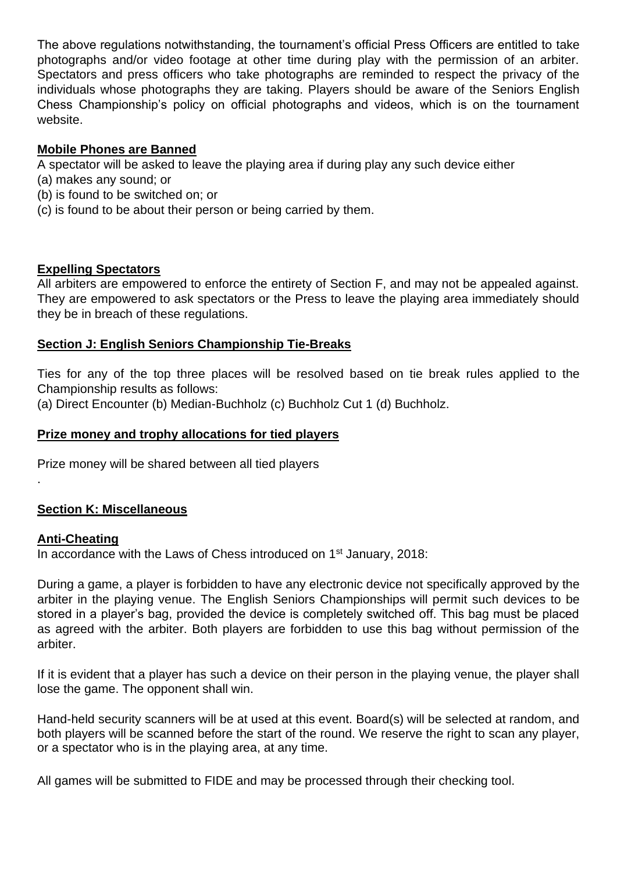The above regulations notwithstanding, the tournament's official Press Officers are entitled to take photographs and/or video footage at other time during play with the permission of an arbiter. Spectators and press officers who take photographs are reminded to respect the privacy of the individuals whose photographs they are taking. Players should be aware of the Seniors English Chess Championship's policy on official photographs and videos, which is on the tournament website.

# **Mobile Phones are Banned**

A spectator will be asked to leave the playing area if during play any such device either

- (a) makes any sound; or
- (b) is found to be switched on; or
- (c) is found to be about their person or being carried by them.

### **Expelling Spectators**

All arbiters are empowered to enforce the entirety of Section F, and may not be appealed against. They are empowered to ask spectators or the Press to leave the playing area immediately should they be in breach of these regulations.

# **Section J: English Seniors Championship Tie-Breaks**

Ties for any of the top three places will be resolved based on tie break rules applied to the Championship results as follows:

(a) Direct Encounter (b) Median-Buchholz (c) Buchholz Cut 1 (d) Buchholz.

# **Prize money and trophy allocations for tied players**

Prize money will be shared between all tied players

# **Section K: Miscellaneous**

# **Anti-Cheating**

.

In accordance with the Laws of Chess introduced on 1<sup>st</sup> January, 2018:

During a game, a player is forbidden to have any electronic device not specifically approved by the arbiter in the playing venue. The English Seniors Championships will permit such devices to be stored in a player's bag, provided the device is completely switched off. This bag must be placed as agreed with the arbiter. Both players are forbidden to use this bag without permission of the arbiter.

If it is evident that a player has such a device on their person in the playing venue, the player shall lose the game. The opponent shall win.

Hand-held security scanners will be at used at this event. Board(s) will be selected at random, and both players will be scanned before the start of the round. We reserve the right to scan any player, or a spectator who is in the playing area, at any time.

All games will be submitted to FIDE and may be processed through their checking tool.